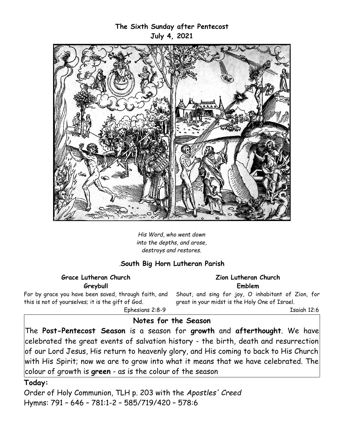## **The Sixth Sunday after Pentecost July 4, 2021**



*His Word, who went down into the depths, and arose, destroys and restores.*

## *.***South Big Horn Lutheran Parish**

#### **Grace Lutheran Church Greybull**

For by grace you have been saved, through faith, and this is not of yourselves; it is the gift of God.

**Zion Lutheran Church Emblem**

Shout, and sing for joy, O inhabitant of Zion, for great in your midst is the Holy One of Israel.

Isaiah 12:6

Ephesians 2:8-9

## **Notes for the Season**

The **Post-Pentecost Season** is a season for **growth** and **afterthought**. We have celebrated the great events of salvation history - the birth, death and resurrection of our Lord Jesus, His return to heavenly glory, and His coming to back to His Church with His Spirit; now we are to grow into what it means that we have celebrated. The colour of growth is **green** - as is the colour of the season

### **Today:**

Order of Holy Communion, TLH p. 203 with the *Apostles' Creed*  Hymns: 791 – 646 – 781:1-2 – 585/719/420 – 578:6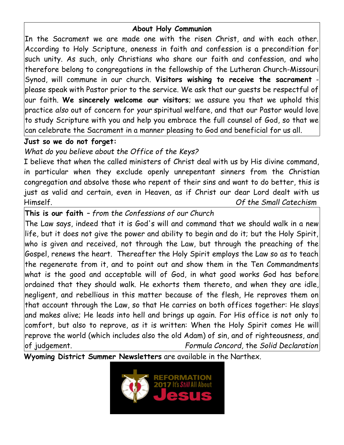## **About Holy Communion**

In the Sacrament we are made one with the risen Christ, and with each other. According to Holy Scripture, oneness in faith and confession is a precondition for such unity. As such, only Christians who share our faith and confession, and who therefore belong to congregations in the fellowship of the Lutheran Church-Missouri Synod, will commune in our church. **Visitors wishing to receive the sacrament** please speak with Pastor prior to the service. We ask that our guests be respectful of our faith. **We sincerely welcome our visitors**; we assure you that we uphold this practice *also* out of concern for *your* spiritual welfare, and that our Pastor would love to study Scripture with you and help you embrace the full counsel of God, so that we can celebrate the Sacrament in a manner pleasing to God and beneficial for us all.

## **Just so we do not forget:**

# *What do you believe about the Office of the Keys?*

I believe that when the called ministers of Christ deal with us by His divine command, in particular when they exclude openly unrepentant sinners from the Christian congregation and absolve those who repent of their sins and want to do better, this is just as valid and certain, even in Heaven, as if Christ our dear Lord dealt with us Himself. *Of the Small Catechism*

# **This is our faith** *– from the Confessions of our Church*

The Law says, indeed that it is God's will and command that we should walk in a new life, but it does not give the power and ability to begin and do it; but the Holy Spirit, who is given and received, not through the Law, but through the preaching of the Gospel, renews the heart. Thereafter the Holy Spirit employs the Law so as to teach the regenerate from it, and to point out and show them in the Ten Commandments what is the good and acceptable will of God, in what good works God has before ordained that they should walk. He exhorts them thereto, and when they are idle, negligent, and rebellious in this matter because of the flesh, He reproves them on that account through the Law, so that He carries on both offices together: He slays and makes alive; He leads into hell and brings up again. For His office is not only to comfort, but also to reprove, as it is written: When the Holy Spirit comes He will reprove the world (which includes also the old Adam) of sin, and of righteousness, and of judgement. *Formula Concord,* the *Solid Declaration*

**Wyoming District Summer Newsletters** are available in the Narthex.